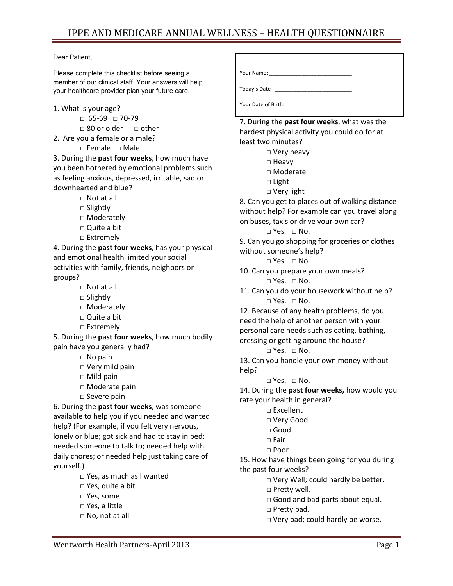## Dear Patient,

Please complete this checklist before seeing a member of our clinical staff. Your answers will help your healthcare provider plan your future care.

- 1. What is your age?
	- □ 65‐69 □ 70‐79
	- $\Box$  80 or older  $\Box$  other
- 2. Are you a female or a male?
	- □ Female □ Male

3. During the **past four weeks**, how much have you been bothered by emotional problems such as feeling anxious, depressed, irritable, sad or downhearted and blue?

- □ Not at all
- □ Slightly
- □ Moderately
- □ Quite a bit
- □ Extremely

4. During the **past four weeks**, has your physical and emotional health limited your social activities with family, friends, neighbors or groups?

- $\Box$  Not at all
- □ Slightly
- □ Moderately
- □ Quite a bit
- □ Extremely

5. During the **past four weeks**, how much bodily pain have you generally had?

- □ No pain
- □ Very mild pain
- $\square$  Mild pain
- □ Moderate pain
- □ Severe pain

6. During the **past four weeks**, was someone available to help you if you needed and wanted help? (For example, if you felt very nervous, lonely or blue; got sick and had to stay in bed; needed someone to talk to; needed help with daily chores; or needed help just taking care of yourself.)

- □ Yes, as much as I wanted
- □ Yes, quite a bit
- □ Yes, some
- □ Yes, a little
- □ No, not at all

Your Name: \_\_\_\_\_\_\_\_\_\_\_\_\_\_\_\_\_\_\_\_\_\_\_\_\_\_\_\_ Today's Date ‐ \_\_\_\_\_\_\_\_\_\_\_\_\_\_\_\_\_\_\_\_\_\_\_\_\_\_ Your Date of Birth:\_\_\_\_\_\_\_\_\_\_\_\_\_\_\_\_\_\_\_\_\_\_\_

7. During the **past four weeks**, what was the hardest physical activity you could do for at least two minutes?

- □ Very heavy
- □ Heavy
- □ Moderate
- □ Light
- □ Very light

8. Can you get to places out of walking distance without help? For example can you travel along on buses, taxis or drive your own car?

 $\square$  Yes.  $\square$  No.

9. Can you go shopping for groceries or clothes without someone's help?

- □ Yes. □ No.
- 10. Can you prepare your own meals?  $\square$  Yes.  $\square$  No.
- 11. Can you do your housework without help?  $\square$  Yes.  $\square$  No.

12. Because of any health problems, do you need the help of another person with your personal care needs such as eating, bathing, dressing or getting around the house?

□ Yes. □ No.

13. Can you handle your own money without help?

 $\Box$  Yes.  $\Box$  No.

14. During the **past four weeks,** how would you rate your health in general?

- □ Excellent
- □ Very Good
- □ Good
- □ Fair
- □ Poor

15. How have things been going for you during the past four weeks?

□ Very Well; could hardly be better.

- □ Pretty well.
- □ Good and bad parts about equal.
- □ Pretty bad.
- □ Very bad; could hardly be worse.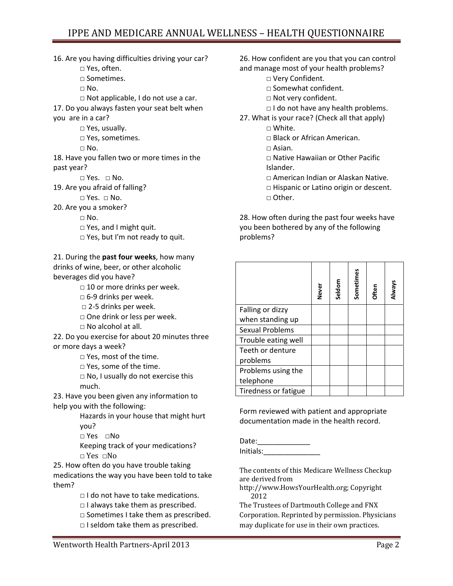## IPPE AND MEDICARE ANNUAL WELLNESS – HEALTH QUESTIONNAIRE

16. Are you having difficulties driving your car? □ Yes, often. □ Sometimes.  $\Box$  No. □ Not applicable, I do not use a car. 17. Do you always fasten your seat belt when you are in a car? □ Yes, usually. □ Yes, sometimes.  $\square$  No. 18. Have you fallen two or more times in the past year?  $\square$  Yes.  $\square$  No. 19. Are you afraid of falling? □ Yes. □ No. 20. Are you a smoker?  $\Box$  No. □ Yes, and I might quit. □ Yes, but I'm not ready to quit. 21. During the **past four weeks**, how many drinks of wine, beer, or other alcoholic

beverages did you have?

 $\Box$  10 or more drinks per week.

- □ 6‐9 drinks per week.
- □ 2‐5 drinks per week.
- □ One drink or less per week.
- □ No alcohol at all.

22. Do you exercise for about 20 minutes three or more days a week?

□ Yes, most of the time.

□ Yes, some of the time.

 $\Box$  No, I usually do not exercise this much.

23. Have you been given any information to help you with the following:

> Hazards in your house that might hurt you?

□ Yes □No

Keeping track of your medications? □ Yes □No

25. How often do you have trouble taking medications the way you have been told to take them?

□ I do not have to take medications.

 $\Box$  I always take them as prescribed.

□ Sometimes I take them as prescribed.

□ I seldom take them as prescribed.

26. How confident are you that you can control and manage most of your health problems?

- □ Very Confident.
- □ Somewhat confident.
- □ Not very confident.
- □ I do not have any health problems.
- 27. What is your race? (Check all that apply) □ White.
	- □ Black or African American.
	- □ Asian.
	- □ Native Hawaiian or Other Pacific Islander.
	- □ American Indian or Alaskan Native.
	- □ Hispanic or Latino origin or descent. □ Other.

28. How often during the past four weeks have you been bothered by any of the following problems?

|                             | Never | Seldom | Sometimes | Often | Always |
|-----------------------------|-------|--------|-----------|-------|--------|
| Falling or dizzy            |       |        |           |       |        |
| when standing up            |       |        |           |       |        |
| <b>Sexual Problems</b>      |       |        |           |       |        |
| Trouble eating well         |       |        |           |       |        |
| Teeth or denture            |       |        |           |       |        |
| problems                    |       |        |           |       |        |
| Problems using the          |       |        |           |       |        |
| telephone                   |       |        |           |       |        |
| <b>Tiredness or fatigue</b> |       |        |           |       |        |

Form reviewed with patient and appropriate documentation made in the health record.

Date: Initials:\_\_\_\_\_\_\_\_\_\_\_\_\_\_

The contents of this Medicare Wellness Checkup are derived from

http://www.HowsYourHealth.org; Copyright 2012

The Trustees of Dartmouth College and FNX Corporation. Reprinted by permission. Physicians may duplicate for use in their own practices.